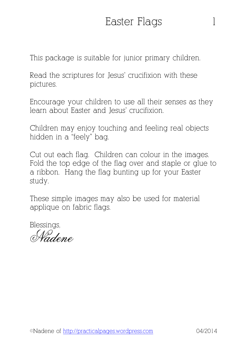This package is suitable for junior primary children.

Read the scriptures for Jesus' crucifixion with these pictures.

Encourage your children to use all their senses as they learn about Easter and Jesus' crucifixion.

Children may enjoy touching and feeling real objects hidden in a "feely" bag.

Cut out each flag. Children can colour in the images. Fold the top edge of the flag over and staple or glue to a ribbon. Hang the flag bunting up for your Easter study.

These simple images may also be used for material applique on fabric flags.

Blessings,

Vadene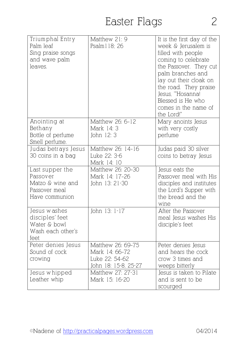| Triumphal Entry<br>Palm leaf<br>Sing praise songs<br>and wave palm<br>leaves.      | Matthew 21: 9<br>Psalm 1 1 8; 26                                              | It is the first day of the<br>week & Jerusalem is<br>filled with people<br>coming to celebrate<br>the Passover. They cut<br>palm branches and<br>lay out their cloak on<br>the road. They praise<br>Jesus, "Hosanna!<br>Blessed is He who<br>comes in the name of<br>the Lord!" |
|------------------------------------------------------------------------------------|-------------------------------------------------------------------------------|---------------------------------------------------------------------------------------------------------------------------------------------------------------------------------------------------------------------------------------------------------------------------------|
| Anointing at<br>Bethany<br>Bottle of perfume<br>Smell perfume.                     | Matthew 26: 6-12<br>Mark 14: 3<br>John 12: 3                                  | Mary anoints Jesus<br>with very costly<br>perfume                                                                                                                                                                                                                               |
| Judas betrays Jesus<br>30 coins in a bag                                           | Matthew 26: 14-16<br>Luke 22: 3-6<br>Mark 14: 10                              | Judas paid 30 silver<br>coins to betray Jesus                                                                                                                                                                                                                                   |
| Last supper the<br>Passover<br>Matzo & wine and<br>Passover meal<br>Have communion | Matthew 26: 20-30<br>Mark 14: 17–26<br>John 13: 21-30                         | Jesus eats the<br>Passover meal with His<br>disciples and institutes<br>the Lord's Supper with<br>the bread and the<br>wine                                                                                                                                                     |
| Jesus washes<br>disciples' feet<br>Water & bowl<br>Wash each other's<br>feet       | John 13: 1-17                                                                 | After the Passover<br>meal Jesus washes His<br>disciple's feet                                                                                                                                                                                                                  |
| Peter denies Jesus<br>Sound of cock<br>crowing                                     | Matthew 26: 69-75<br>Mark 14: 66-72<br>Luke 22: 54-62<br>John 18: 15-8, 25-27 | Peter denies Jesus<br>and hears the cock<br>crow 3 times and<br>weeps bitterly                                                                                                                                                                                                  |
| Jesus whipped<br>Leather whip                                                      | Matthew 27: 27-31<br>Mark 15: 16-20                                           | Jesus is taken to Pilate<br>and is sent to be<br>scourged                                                                                                                                                                                                                       |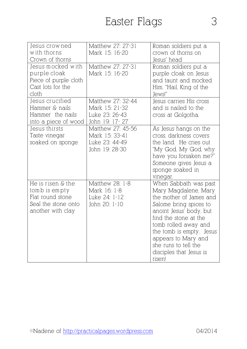| Jesus crow ned<br>with thorns<br>Crown of thorns                                                   | Matthew 27: 27-31<br>Mark 15: 16-20                                      | Roman soldiers put a<br>crown of thorns on<br>Jesus' head                                                                                                                                                                                                                                      |
|----------------------------------------------------------------------------------------------------|--------------------------------------------------------------------------|------------------------------------------------------------------------------------------------------------------------------------------------------------------------------------------------------------------------------------------------------------------------------------------------|
| Jesus mocked with<br>purple cloak<br>Piece of purple cloth<br>Cast lots for the<br>cloth           | Matthew 27: 27-31<br>Mark 15: 16-20                                      | Roman soldiers put a<br>purple cloak on Jesus<br>and taunt and mocked<br>Him, "Hail, King of the<br>Jews!"                                                                                                                                                                                     |
| Jesus crucified<br>Hammer & nails<br>Hammer the nails<br>into a piece of wood                      | Matthew 27: 32-44<br>Mark 15: 21-32<br>Luke 23: 26-43<br>John 19: 17- 27 | Jesus carries His cross<br>and is nailed to the<br>cross at Golgotha.                                                                                                                                                                                                                          |
| Jesus thirsts<br>Taste vinegar<br>soaked on sponge                                                 | Matthew 27: 45-56<br>Mark 15: 33-41<br>Luke 23: 44-49<br>John 19: 28-30  | As Jesus hangs on the<br>cross, darkness covers<br>the land. He cries out<br>"My God, My God, why<br>have you forsaken me?"<br>Someone gives Jesus a<br>sponge soaked in<br>vinegar.                                                                                                           |
| He is risen & the<br>tomb is empty<br>Flat round stone<br>Seal the stone onto<br>another with clay | Matthew 28: 1-8<br>Mark 16: 1-8<br>Luke 24: 1-12<br>John 20: 1-10        | When Sabbath was past<br>Mary Magdalene, Mary<br>the mother of James and<br>Salome bring spices to<br>anoint Jesus' body, but<br>find the stone at the<br>tomb rolled away and<br>the tomb is empty. Jesus<br>appears to Mary and<br>she runs to tell the<br>disciples that Jesus is<br>risen! |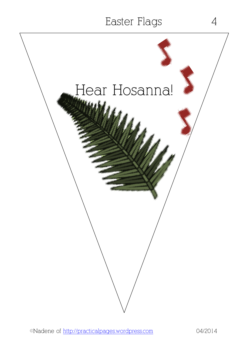# Hear Hosanna!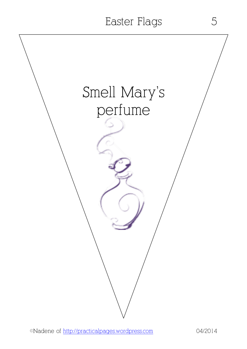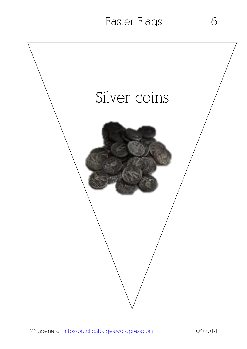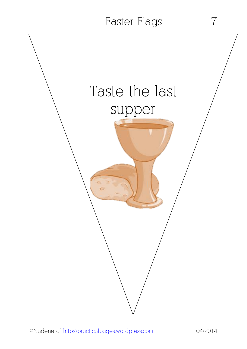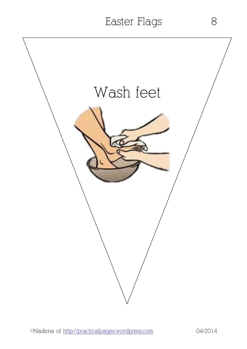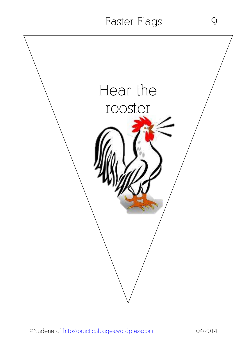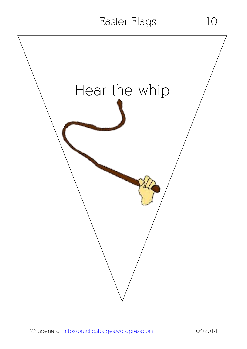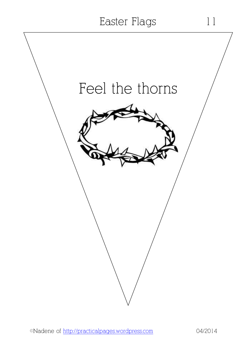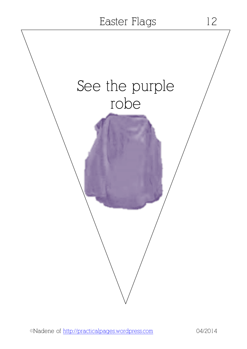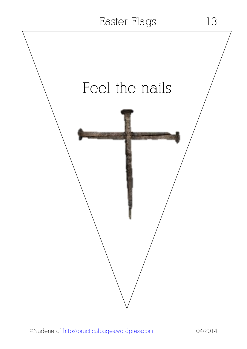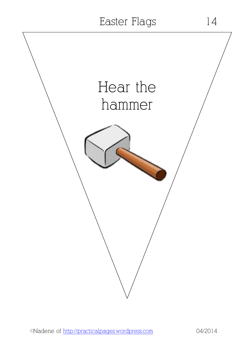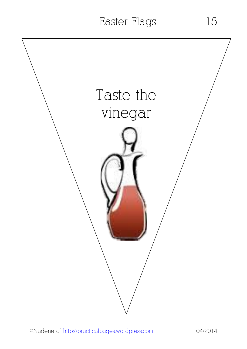